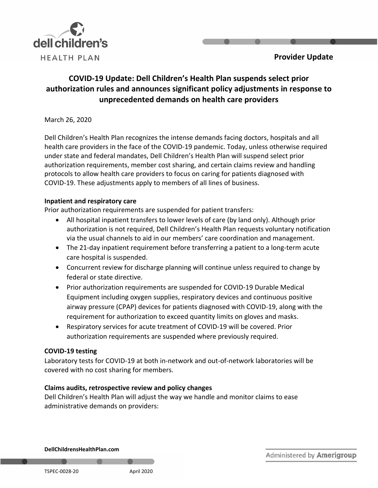

## **Provider Update**

# **COVID-19 Update: Dell Children's Health Plan suspends select prior authorization rules and announces significant policy adjustments in response to unprecedented demands on health care providers**

March 26, 2020

Dell Children's Health Plan recognizes the intense demands facing doctors, hospitals and all health care providers in the face of the COVID-19 pandemic. Today, unless otherwise required under state and federal mandates, Dell Children's Health Plan will suspend select prior authorization requirements, member cost sharing, and certain claims review and handling protocols to allow health care providers to focus on caring for patients diagnosed with COVID-19. These adjustments apply to members of all lines of business.

### **Inpatient and respiratory care**

Prior authorization requirements are suspended for patient transfers:

- All hospital inpatient transfers to lower levels of care (by land only). Although prior authorization is not required, Dell Children's Health Plan requests voluntary notification via the usual channels to aid in our members' care coordination and management.
- The 21-day inpatient requirement before transferring a patient to a long-term acute care hospital is suspended.
- Concurrent review for discharge planning will continue unless required to change by federal or state directive.
- Prior authorization requirements are suspended for COVID-19 Durable Medical Equipment including oxygen supplies, respiratory devices and continuous positive airway pressure (CPAP) devices for patients diagnosed with COVID-19, along with the requirement for authorization to exceed quantity limits on gloves and masks.
- Respiratory services for acute treatment of COVID-19 will be covered. Prior authorization requirements are suspended where previously required.

#### **COVID-19 testing**

Laboratory tests for COVID-19 at both in-network and out-of-network laboratories will be covered with no cost sharing for members.

#### **Claims audits, retrospective review and policy changes**

Dell Children's Health Plan will adjust the way we handle and monitor claims to ease administrative demands on providers:

**DellChildrensHealthPlan.com**

TSPEC-0028-20 April 2020

Administered by Amerigroup